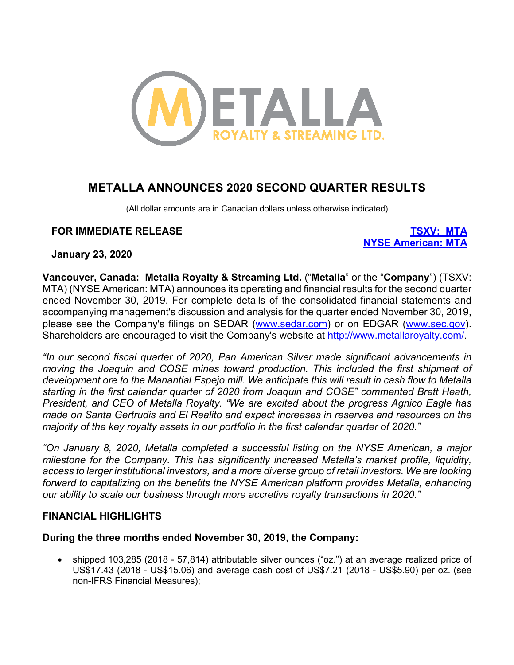

# **METALLA ANNOUNCES 2020 SECOND QUARTER RESULTS**

(All dollar amounts are in Canadian dollars unless otherwise indicated)

# **FOR IMMEDIATE RELEASE TSXV: MTA**

**NYSE American: MTA**

**January 23, 2020**

**Vancouver, Canada: Metalla Royalty & Streaming Ltd.** ("**Metalla**" or the "**Company**") (TSXV: MTA) (NYSE American: MTA) announces its operating and financial results for the second quarter ended November 30, 2019. For complete details of the consolidated financial statements and accompanying management's discussion and analysis for the quarter ended November 30, 2019, please see the Company's filings on SEDAR (www.sedar.com) or on EDGAR (www.sec.gov). Shareholders are encouraged to visit the Company's website at http://www.metallaroyalty.com/.

*"In our second fiscal quarter of 2020, Pan American Silver made significant advancements in moving the Joaquin and COSE mines toward production. This included the first shipment of development ore to the Manantial Espejo mill. We anticipate this will result in cash flow to Metalla starting in the first calendar quarter of 2020 from Joaquin and COSE" commented Brett Heath, President, and CEO of Metalla Royalty. "We are excited about the progress Agnico Eagle has made on Santa Gertrudis and El Realito and expect increases in reserves and resources on the majority of the key royalty assets in our portfolio in the first calendar quarter of 2020."*

*"On January 8, 2020, Metalla completed a successful listing on the NYSE American, a major milestone for the Company. This has significantly increased Metalla's market profile, liquidity, access to larger institutional investors, and a more diverse group of retail investors. We are looking forward to capitalizing on the benefits the NYSE American platform provides Metalla, enhancing our ability to scale our business through more accretive royalty transactions in 2020."*

# **FINANCIAL HIGHLIGHTS**

# **During the three months ended November 30, 2019, the Company:**

• shipped 103,285 (2018 - 57,814) attributable silver ounces ("oz.") at an average realized price of US\$17.43 (2018 - US\$15.06) and average cash cost of US\$7.21 (2018 - US\$5.90) per oz. (see non-IFRS Financial Measures);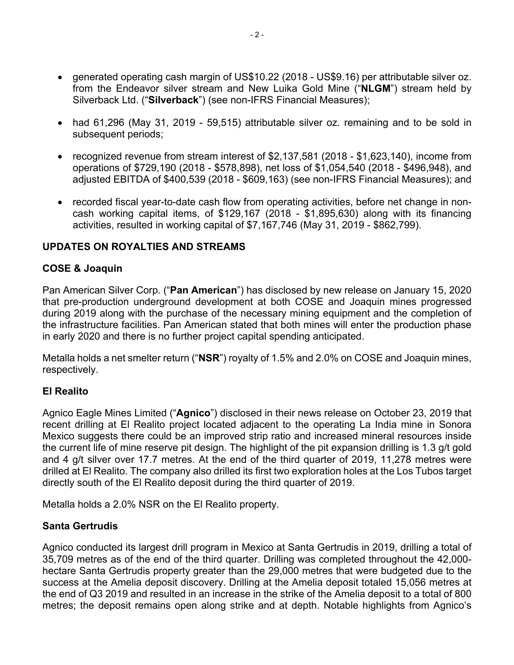- generated operating cash margin of US\$10.22 (2018 US\$9.16) per attributable silver oz. from the Endeavor silver stream and New Luika Gold Mine ("**NLGM**") stream held by Silverback Ltd. ("**Silverback**") (see non-IFRS Financial Measures);
- had 61,296 (May 31, 2019 59,515) attributable silver oz. remaining and to be sold in subsequent periods;
- recognized revenue from stream interest of \$2,137,581 (2018 \$1,623,140), income from operations of \$729,190 (2018 - \$578,898), net loss of \$1,054,540 (2018 - \$496,948), and adjusted EBITDA of \$400,539 (2018 - \$609,163) (see non-IFRS Financial Measures); and
- recorded fiscal year-to-date cash flow from operating activities, before net change in noncash working capital items, of \$129,167 (2018 - \$1,895,630) along with its financing activities, resulted in working capital of \$7,167,746 (May 31, 2019 - \$862,799).

# **UPDATES ON ROYALTIES AND STREAMS**

# **COSE & Joaquin**

Pan American Silver Corp. ("**Pan American**") has disclosed by new release on January 15, 2020 that pre-production underground development at both COSE and Joaquin mines progressed during 2019 along with the purchase of the necessary mining equipment and the completion of the infrastructure facilities. Pan American stated that both mines will enter the production phase in early 2020 and there is no further project capital spending anticipated.

Metalla holds a net smelter return ("**NSR**") royalty of 1.5% and 2.0% on COSE and Joaquin mines, respectively.

# **El Realito**

Agnico Eagle Mines Limited ("**Agnico**") disclosed in their news release on October 23, 2019 that recent drilling at El Realito project located adjacent to the operating La India mine in Sonora Mexico suggests there could be an improved strip ratio and increased mineral resources inside the current life of mine reserve pit design. The highlight of the pit expansion drilling is 1.3 g/t gold and 4 g/t silver over 17.7 metres. At the end of the third quarter of 2019, 11,278 metres were drilled at El Realito. The company also drilled its first two exploration holes at the Los Tubos target directly south of the El Realito deposit during the third quarter of 2019.

Metalla holds a 2.0% NSR on the El Realito property.

# **Santa Gertrudis**

Agnico conducted its largest drill program in Mexico at Santa Gertrudis in 2019, drilling a total of 35,709 metres as of the end of the third quarter. Drilling was completed throughout the 42,000 hectare Santa Gertrudis property greater than the 29,000 metres that were budgeted due to the success at the Amelia deposit discovery. Drilling at the Amelia deposit totaled 15,056 metres at the end of Q3 2019 and resulted in an increase in the strike of the Amelia deposit to a total of 800 metres; the deposit remains open along strike and at depth. Notable highlights from Agnico's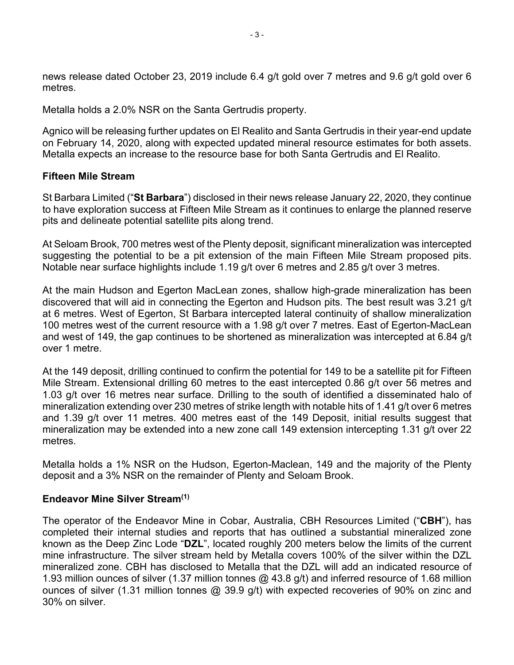news release dated October 23, 2019 include 6.4 g/t gold over 7 metres and 9.6 g/t gold over 6 metres.

Metalla holds a 2.0% NSR on the Santa Gertrudis property.

Agnico will be releasing further updates on El Realito and Santa Gertrudis in their year-end update on February 14, 2020, along with expected updated mineral resource estimates for both assets. Metalla expects an increase to the resource base for both Santa Gertrudis and El Realito.

# **Fifteen Mile Stream**

St Barbara Limited ("**St Barbara**") disclosed in their news release January 22, 2020, they continue to have exploration success at Fifteen Mile Stream as it continues to enlarge the planned reserve pits and delineate potential satellite pits along trend.

At Seloam Brook, 700 metres west of the Plenty deposit, significant mineralization was intercepted suggesting the potential to be a pit extension of the main Fifteen Mile Stream proposed pits. Notable near surface highlights include 1.19 g/t over 6 metres and 2.85 g/t over 3 metres.

At the main Hudson and Egerton MacLean zones, shallow high-grade mineralization has been discovered that will aid in connecting the Egerton and Hudson pits. The best result was 3.21 g/t at 6 metres. West of Egerton, St Barbara intercepted lateral continuity of shallow mineralization 100 metres west of the current resource with a 1.98 g/t over 7 metres. East of Egerton-MacLean and west of 149, the gap continues to be shortened as mineralization was intercepted at 6.84 g/t over 1 metre.

At the 149 deposit, drilling continued to confirm the potential for 149 to be a satellite pit for Fifteen Mile Stream. Extensional drilling 60 metres to the east intercepted 0.86 g/t over 56 metres and 1.03 g/t over 16 metres near surface. Drilling to the south of identified a disseminated halo of mineralization extending over 230 metres of strike length with notable hits of 1.41 g/t over 6 metres and 1.39 g/t over 11 metres. 400 metres east of the 149 Deposit, initial results suggest that mineralization may be extended into a new zone call 149 extension intercepting 1.31 g/t over 22 metres.

Metalla holds a 1% NSR on the Hudson, Egerton-Maclean, 149 and the majority of the Plenty deposit and a 3% NSR on the remainder of Plenty and Seloam Brook.

# **Endeavor Mine Silver Stream(1)**

The operator of the Endeavor Mine in Cobar, Australia, CBH Resources Limited ("**CBH**"), has completed their internal studies and reports that has outlined a substantial mineralized zone known as the Deep Zinc Lode "**DZL**", located roughly 200 meters below the limits of the current mine infrastructure. The silver stream held by Metalla covers 100% of the silver within the DZL mineralized zone. CBH has disclosed to Metalla that the DZL will add an indicated resource of 1.93 million ounces of silver (1.37 million tonnes @ 43.8 g/t) and inferred resource of 1.68 million ounces of silver (1.31 million tonnes @ 39.9 g/t) with expected recoveries of 90% on zinc and 30% on silver.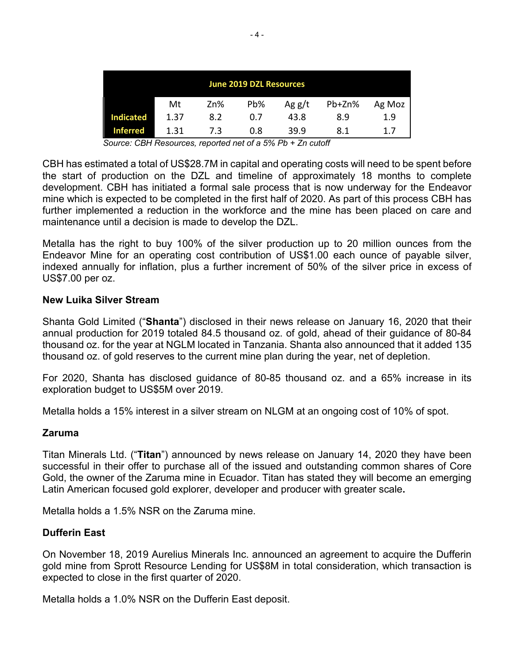| June 2019 DZL Resources |      |     |     |       |        |        |
|-------------------------|------|-----|-----|-------|--------|--------|
|                         | Mt   | Zn% | Pb% | Agg/t | Pb+Zn% | Ag Moz |
| <b>Indicated</b>        | 1.37 | 8.2 | 0.7 | 43.8  | 8.9    | 1.9    |
| <b>Inferred</b>         | 1.31 | 7.3 | 0.8 | 39.9  | 8.1    | 1.7    |

*Source: CBH Resources, reported net of a 5% Pb + Zn cutoff*

CBH has estimated a total of US\$28.7M in capital and operating costs will need to be spent before the start of production on the DZL and timeline of approximately 18 months to complete development. CBH has initiated a formal sale process that is now underway for the Endeavor mine which is expected to be completed in the first half of 2020. As part of this process CBH has further implemented a reduction in the workforce and the mine has been placed on care and maintenance until a decision is made to develop the DZL.

Metalla has the right to buy 100% of the silver production up to 20 million ounces from the Endeavor Mine for an operating cost contribution of US\$1.00 each ounce of payable silver, indexed annually for inflation, plus a further increment of 50% of the silver price in excess of US\$7.00 per oz.

### **New Luika Silver Stream**

Shanta Gold Limited ("**Shanta**") disclosed in their news release on January 16, 2020 that their annual production for 2019 totaled 84.5 thousand oz. of gold, ahead of their guidance of 80-84 thousand oz. for the year at NGLM located in Tanzania. Shanta also announced that it added 135 thousand oz. of gold reserves to the current mine plan during the year, net of depletion.

For 2020, Shanta has disclosed guidance of 80-85 thousand oz. and a 65% increase in its exploration budget to US\$5M over 2019.

Metalla holds a 15% interest in a silver stream on NLGM at an ongoing cost of 10% of spot.

### **Zaruma**

Titan Minerals Ltd. ("**Titan**") announced by news release on January 14, 2020 they have been successful in their offer to purchase all of the issued and outstanding common shares of Core Gold, the owner of the Zaruma mine in Ecuador. Titan has stated they will become an emerging Latin American focused gold explorer, developer and producer with greater scale**.** 

Metalla holds a 1.5% NSR on the Zaruma mine.

### **Dufferin East**

On November 18, 2019 Aurelius Minerals Inc. announced an agreement to acquire the Dufferin gold mine from Sprott Resource Lending for US\$8M in total consideration, which transaction is expected to close in the first quarter of 2020.

Metalla holds a 1.0% NSR on the Dufferin East deposit.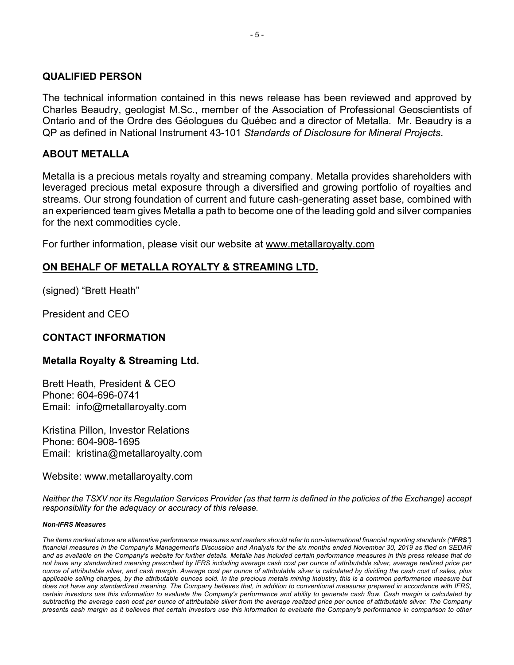### **QUALIFIED PERSON**

The technical information contained in this news release has been reviewed and approved by Charles Beaudry, geologist M.Sc., member of the Association of Professional Geoscientists of Ontario and of the Ordre des Géologues du Québec and a director of Metalla. Mr. Beaudry is a QP as defined in National Instrument 43-101 *Standards of Disclosure for Mineral Projects*.

### **ABOUT METALLA**

Metalla is a precious metals royalty and streaming company. Metalla provides shareholders with leveraged precious metal exposure through a diversified and growing portfolio of royalties and streams. Our strong foundation of current and future cash-generating asset base, combined with an experienced team gives Metalla a path to become one of the leading gold and silver companies for the next commodities cycle.

For further information, please visit our website at www.metallaroyalty.com

# **ON BEHALF OF METALLA ROYALTY & STREAMING LTD.**

(signed) "Brett Heath"

President and CEO

# **CONTACT INFORMATION**

# **Metalla Royalty & Streaming Ltd.**

Brett Heath, President & CEO Phone: 604-696-0741 Email: info@metallaroyalty.com

Kristina Pillon, Investor Relations Phone: 604-908-1695 Email: kristina@metallaroyalty.com

Website: www.metallaroyalty.com

*Neither the TSXV nor its Regulation Services Provider (as that term is defined in the policies of the Exchange) accept responsibility for the adequacy or accuracy of this release.*

#### *Non-IFRS Measures*

*The items marked above are alternative performance measures and readers should refer to non-international financial reporting standards ("IFRS") financial measures in the Company's Management's Discussion and Analysis for the six months ended November 30, 2019 as filed on SEDAR and as available on the Company's website for further details. Metalla has included certain performance measures in this press release that do not have any standardized meaning prescribed by IFRS including average cash cost per ounce of attributable silver, average realized price per ounce of attributable silver, and cash margin. Average cost per ounce of attributable silver is calculated by dividing the cash cost of sales, plus applicable selling charges, by the attributable ounces sold. In the precious metals mining industry, this is a common performance measure but does not have any standardized meaning. The Company believes that, in addition to conventional measures prepared in accordance with IFRS, certain investors use this information to evaluate the Company's performance and ability to generate cash flow. Cash margin is calculated by subtracting the average cash cost per ounce of attributable silver from the average realized price per ounce of attributable silver. The Company presents cash margin as it believes that certain investors use this information to evaluate the Company's performance in comparison to other*